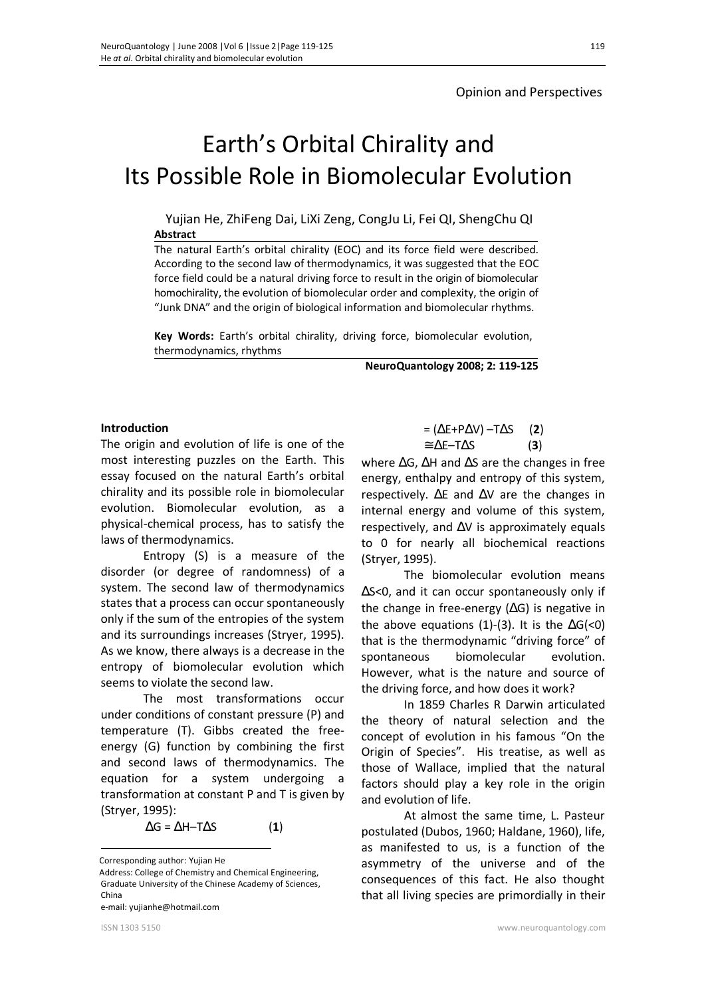# Earth's Orbital Chirality and Its Possible Role in Biomolecular Evolution

Yujian He, ZhiFeng Dai, LiXi Zeng, CongJu Li, Fei QI, ShengChu QI **Abstract** 

The natural Earth's orbital chirality (EOC) and its force field were described. According to the second law of thermodynamics, it was suggested that the EOC force field could be a natural driving force to result in the origin of biomolecular homochirality, the evolution of biomolecular order and complexity, the origin of "Junk DNA" and the origin of biological information and biomolecular rhythms.

**Key Words:** Earth's orbital chirality, driving force, biomolecular evolution, thermodynamics, rhythms

**NeuroQuantology 2008; 2: 119-125**

#### **Introduction**

The origin and evolution of life is one of the most interesting puzzles on the Earth. This essay focused on the natural Earth's orbital chirality and its possible role in biomolecular evolution. Biomolecular evolution, as a physical-chemical process, has to satisfy the laws of thermodynamics.

Entropy (S) is a measure of the disorder (or degree of randomness) of a system. The second law of thermodynamics states that a process can occur spontaneously only if the sum of the entropies of the system and its surroundings increases (Stryer, 1995). As we know, there always is a decrease in the entropy of biomolecular evolution which seems to violate the second law.

The most transformations occur under conditions of constant pressure (P) and temperature (T). Gibbs created the freeenergy (G) function by combining the first and second laws of thermodynamics. The equation for a system undergoing a transformation at constant P and T is given by (Stryer, 1995):

 $\Delta G = \Delta H - T \Delta S$  (1)

e-mail: yujianhe@hotmail.com

$$
= (\Delta E + P \Delta V) - T \Delta S \qquad (2)
$$

$$
\approx \Delta E - T \Delta S \qquad (3)
$$

where  $\Delta G$ ,  $\Delta H$  and  $\Delta S$  are the changes in free energy, enthalpy and entropy of this system, respectively.  $\Delta E$  and  $\Delta V$  are the changes in internal energy and volume of this system, respectively, and  $\Delta V$  is approximately equals to 0 for nearly all biochemical reactions (Stryer, 1995).

The biomolecular evolution means ΔS<0, and it can occur spontaneously only if the change in free-energy (ΔG) is negative in the above equations (1)-(3). It is the  $\Delta G$  <0) that is the thermodynamic "driving force" of spontaneous biomolecular evolution. However, what is the nature and source of the driving force, and how does it work?

In 1859 Charles R Darwin articulated the theory of natural selection and the concept of evolution in his famous "On the Origin of Species". His treatise, as well as those of Wallace, implied that the natural factors should play a key role in the origin and evolution of life.

At almost the same time, L. Pasteur postulated (Dubos, 1960; Haldane, 1960), life, as manifested to us, is a function of the asymmetry of the universe and of the consequences of this fact. He also thought that all living species are primordially in their

 $\overline{a}$ Corresponding author: Yujian He

Address: College of Chemistry and Chemical Engineering, Graduate University of the Chinese Academy of Sciences, China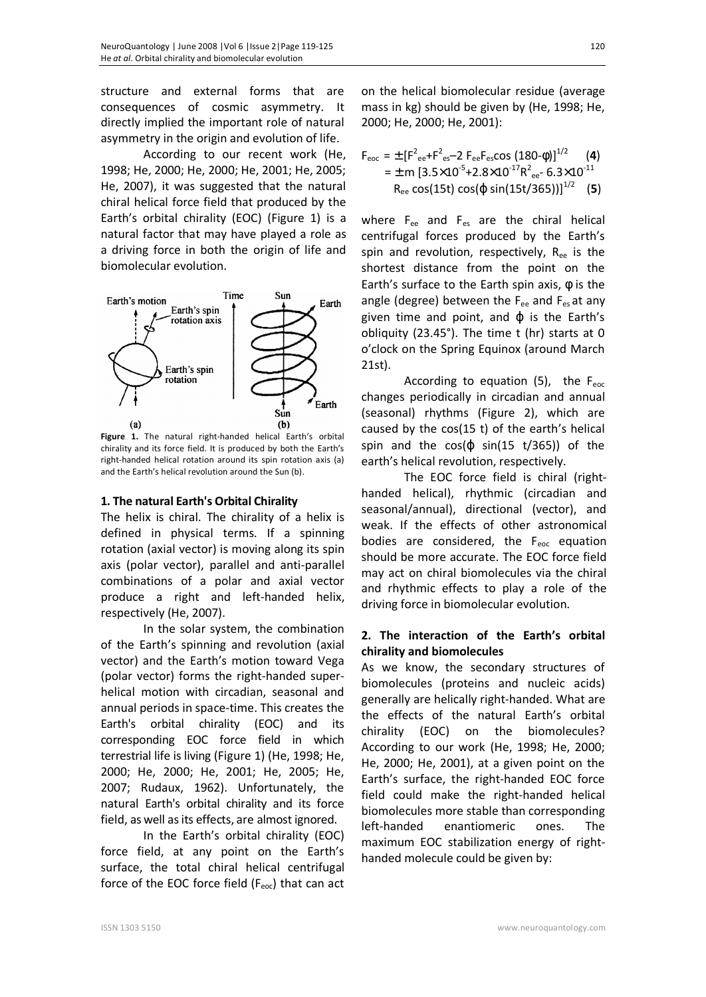structure and external forms that are consequences of cosmic asymmetry. It directly implied the important role of natural asymmetry in the origin and evolution of life.

According to our recent work (He, 1998; He, 2000; He, 2000; He, 2001; He, 2005; He, 2007), it was suggested that the natural chiral helical force field that produced by the Earth's orbital chirality (EOC) (Figure 1) is a natural factor that may have played a role as a driving force in both the origin of life and biomolecular evolution.



**Figure 1.** The natural right-handed helical Earth's orbital chirality and its force field. It is produced by both the Earth's right-handed helical rotation around its spin rotation axis (a) and the Earth's helical revolution around the Sun (b).

#### **1. The natural Earth's Orbital Chirality**

The helix is chiral. The chirality of a helix is defined in physical terms. If a spinning rotation (axial vector) is moving along its spin axis (polar vector), parallel and anti-parallel combinations of a polar and axial vector produce a right and left-handed helix, respectively (He, 2007).

In the solar system, the combination of the Earth's spinning and revolution (axial vector) and the Earth's motion toward Vega (polar vector) forms the right-handed superhelical motion with circadian, seasonal and annual periods in space-time. This creates the Earth's orbital chirality (EOC) and its corresponding EOC force field in which terrestrial life is living (Figure 1) (He, 1998; He, 2000; He, 2000; He, 2001; He, 2005; He, 2007; Rudaux, 1962). Unfortunately, the natural Earth's orbital chirality and its force field, as well as its effects, are almost ignored.

In the Earth's orbital chirality (EOC) force field, at any point on the Earth's surface, the total chiral helical centrifugal force of the EOC force field  $(F_{\text{eoc}})$  that can act on the helical biomolecular residue (average mass in kg) should be given by (He, 1998; He, 2000; He, 2000; He, 2001):

$$
F_{\text{eoc}} = \pm [F_{\text{ee}}^2 + F_{\text{es}}^2 - 2 F_{\text{ee}} F_{\text{es}} \cos (180-\phi)]^{1/2}
$$
 (4)  
=  $\pm$  m [3.5×10<sup>-5</sup>+2.8×10<sup>-17</sup>R<sup>2</sup><sub>ee</sub> - 6.3×10<sup>-11</sup>  
R<sub>ee</sub> cos(15t) cos(φ sin(15t/365))]<sup>1/2</sup> (5)

where F<sub>ee</sub> and F<sub>es</sub> are the chiral helical centrifugal forces produced by the Earth's spin and revolution, respectively,  $R_{ee}$  is the shortest distance from the point on the Earth's surface to the Earth spin axis,  $\phi$  is the angle (degree) between the  $F_{ee}$  and  $F_{es}$  at any given time and point, and  $\varphi$  is the Earth's obliquity (23.45°). The time t (hr) starts at 0 o'clock on the Spring Equinox (around March 21st).

According to equation (5), the  $F_{\text{eoc}}$ changes periodically in circadian and annual (seasonal) rhythms (Figure 2), which are caused by the cos(15 t) of the earth's helical spin and the  $cos(\varphi sin(15 t/365))$  of the earth's helical revolution, respectively.

The EOC force field is chiral (righthanded helical), rhythmic (circadian and seasonal/annual), directional (vector), and weak. If the effects of other astronomical bodies are considered, the  $F_{\text{enc}}$  equation should be more accurate. The EOC force field may act on chiral biomolecules via the chiral and rhythmic effects to play a role of the driving force in biomolecular evolution.

#### **2. The interaction of the Earth's orbital chirality and biomolecules**

As we know, the secondary structures of biomolecules (proteins and nucleic acids) generally are helically right-handed. What are the effects of the natural Earth's orbital chirality (EOC) on the biomolecules? According to our work (He, 1998; He, 2000; He, 2000; He, 2001), at a given point on the Earth's surface, the right-handed EOC force field could make the right-handed helical biomolecules more stable than corresponding left-handed enantiomeric ones. The maximum EOC stabilization energy of righthanded molecule could be given by: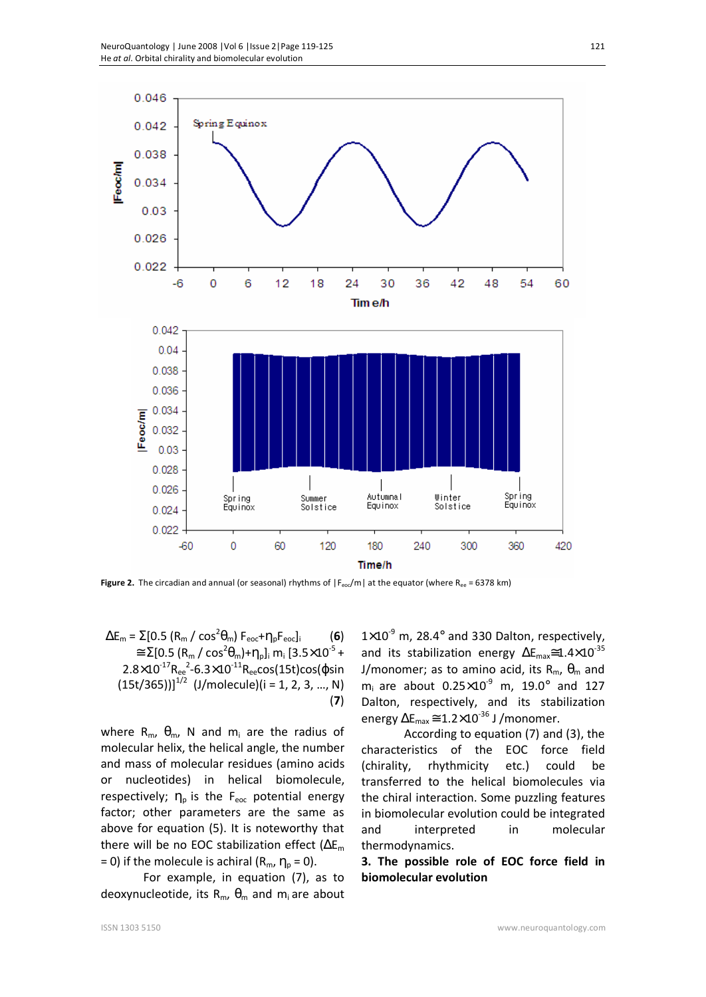

**Figure 2.** The circadian and annual (or seasonal) rhythms of  $|F_{\text{eoc}}/m|$  at the equator (where R<sub>ee</sub> = 6378 km)

 $\Delta E_m = \Sigma [0.5 (R_m / \cos^2 \theta_m) F_{\text{eoc}} + \eta_p F_{\text{eoc}}]$ <sub>i</sub> (6)  $\approx \Sigma[0.5 (R_m / cos^2\theta_m) + \eta_p]_i m_i [3.5 \times 10^{-5} +$  $2.8\times10^{-17}R_{ee}^2$ -6.3 $\times10^{-11}R_{ee}$ cos(15t)cos(φsin  $(15t/365))$ ]<sup>1/2</sup> (J/molecule)(i = 1, 2, 3, ..., N) (**7**)

where  $R_m$ ,  $\theta_m$ , N and  $m_i$  are the radius of molecular helix, the helical angle, the number and mass of molecular residues (amino acids or nucleotides) in helical biomolecule, respectively;  $\eta_p$  is the F<sub>eoc</sub> potential energy factor; other parameters are the same as above for equation (5). It is noteworthy that there will be no EOC stabilization effect  $(\Delta E_m)$ = 0) if the molecule is achiral ( $R_m$ ,  $\eta_p$  = 0).

For example, in equation (7), as to deoxynucleotide, its  $R_m$ ,  $\theta_m$  and  $m_i$  are about

 $1\times10^{-9}$  m, 28.4 $^{\circ}$  and 330 Dalton, respectively, and its stabilization energy  $\Delta E_{\text{max}} \approx 1.4 \times 10^{-35}$ J/monomer; as to amino acid, its  $R_m$ ,  $\theta_m$  and  $m_i$  are about 0.25 $\times$ 10<sup>-9</sup> m, 19.0° and 127 Dalton, respectively, and its stabilization energy  $\Delta E_{\text{max}} \approx 1.2 \times 10^{-36}$  J /monomer.

According to equation (7) and (3), the characteristics of the EOC force field (chirality, rhythmicity etc.) could be transferred to the helical biomolecules via the chiral interaction. Some puzzling features in biomolecular evolution could be integrated and interpreted in molecular thermodynamics.

**3. The possible role of EOC force field in biomolecular evolution**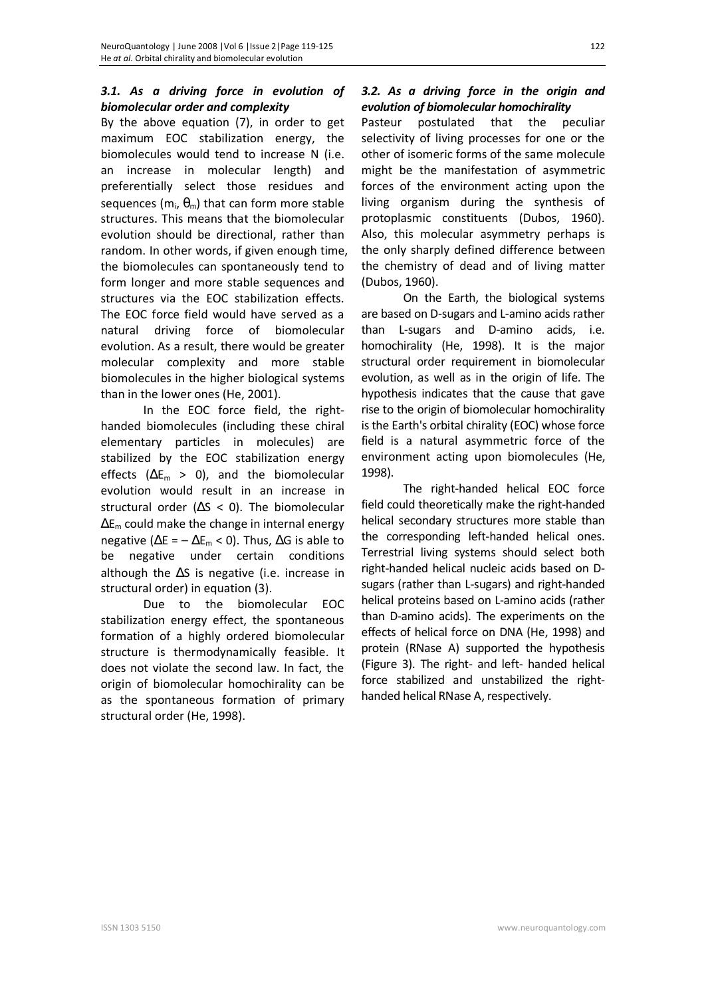# *3.1. As a driving force in evolution of biomolecular order and complexity*

By the above equation (7), in order to get maximum EOC stabilization energy, the biomolecules would tend to increase N (i.e. an increase in molecular length) and preferentially select those residues and sequences (m<sub>i</sub>,  $\theta_{\rm m}$ ) that can form more stable structures. This means that the biomolecular evolution should be directional, rather than random. In other words, if given enough time, the biomolecules can spontaneously tend to form longer and more stable sequences and structures via the EOC stabilization effects. The EOC force field would have served as a natural driving force of biomolecular evolution. As a result, there would be greater molecular complexity and more stable biomolecules in the higher biological systems than in the lower ones (He, 2001).

In the EOC force field, the righthanded biomolecules (including these chiral elementary particles in molecules) are stabilized by the EOC stabilization energy effects ( $\Delta E_m > 0$ ), and the biomolecular evolution would result in an increase in structural order ( $\Delta S < 0$ ). The biomolecular  $\Delta E_m$  could make the change in internal energy negative ( $\Delta E = -\Delta E_m < 0$ ). Thus,  $\Delta G$  is able to be negative under certain conditions although the  $\Delta S$  is negative (i.e. increase in structural order) in equation (3).

Due to the biomolecular EOC stabilization energy effect, the spontaneous formation of a highly ordered biomolecular structure is thermodynamically feasible. It does not violate the second law. In fact, the origin of biomolecular homochirality can be as the spontaneous formation of primary structural order (He, 1998).

# *3.2. As a driving force in the origin and evolution of biomolecular homochirality*

Pasteur postulated that the peculiar selectivity of living processes for one or the other of isomeric forms of the same molecule might be the manifestation of asymmetric forces of the environment acting upon the living organism during the synthesis of protoplasmic constituents (Dubos, 1960). Also, this molecular asymmetry perhaps is the only sharply defined difference between the chemistry of dead and of living matter (Dubos, 1960).

On the Earth, the biological systems are based on D-sugars and L-amino acids rather than L-sugars and D-amino acids, i.e. homochirality (He, 1998). It is the major structural order requirement in biomolecular evolution, as well as in the origin of life. The hypothesis indicates that the cause that gave rise to the origin of biomolecular homochirality is the Earth's orbital chirality (EOC) whose force field is a natural asymmetric force of the environment acting upon biomolecules (He, 1998).

The right-handed helical EOC force field could theoretically make the right-handed helical secondary structures more stable than the corresponding left-handed helical ones. Terrestrial living systems should select both right-handed helical nucleic acids based on Dsugars (rather than L-sugars) and right-handed helical proteins based on L-amino acids (rather than D-amino acids). The experiments on the effects of helical force on DNA (He, 1998) and protein (RNase A) supported the hypothesis (Figure 3). The right- and left- handed helical force stabilized and unstabilized the righthanded helical RNase A, respectively.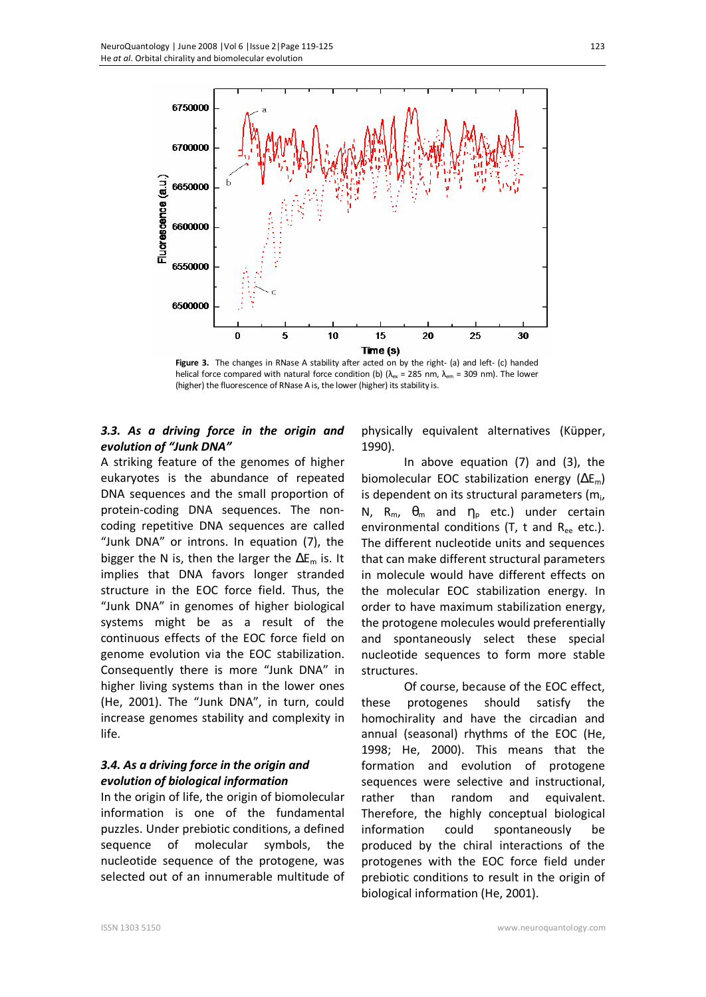



#### *3.3. As a driving force in the origin and evolution of "Junk DNA"*

A striking feature of the genomes of higher eukaryotes is the abundance of repeated DNA sequences and the small proportion of protein-coding DNA sequences. The noncoding repetitive DNA sequences are called "Junk DNA" or introns. In equation (7), the bigger the N is, then the larger the  $\Delta E_m$  is. It implies that DNA favors longer stranded structure in the EOC force field. Thus, the "Junk DNA" in genomes of higher biological systems might be as a result of the continuous effects of the EOC force field on genome evolution via the EOC stabilization. Consequently there is more "Junk DNA" in higher living systems than in the lower ones (He, 2001). The "Junk DNA", in turn, could increase genomes stability and complexity in life.

#### *3.4. As a driving force in the origin and evolution of biological information*

In the origin of life, the origin of biomolecular information is one of the fundamental puzzles. Under prebiotic conditions, a defined sequence of molecular symbols, the nucleotide sequence of the protogene, was selected out of an innumerable multitude of

physically equivalent alternatives (Küpper, 1990).

In above equation (7) and (3), the biomolecular EOC stabilization energy  $(\Delta E_m)$ is dependent on its structural parameters (m<sub>i</sub>, N, R<sub>m</sub>,  $θ$ <sub>m</sub> and  $η$ <sub>p</sub> etc.) under certain environmental conditions (T, t and  $R_{ee}$  etc.). The different nucleotide units and sequences that can make different structural parameters in molecule would have different effects on the molecular EOC stabilization energy. In order to have maximum stabilization energy, the protogene molecules would preferentially and spontaneously select these special nucleotide sequences to form more stable structures.

Of course, because of the EOC effect, these protogenes should satisfy the homochirality and have the circadian and annual (seasonal) rhythms of the EOC (He, 1998; He, 2000). This means that the formation and evolution of protogene sequences were selective and instructional, rather than random and equivalent. Therefore, the highly conceptual biological information could spontaneously be produced by the chiral interactions of the protogenes with the EOC force field under prebiotic conditions to result in the origin of biological information (He, 2001).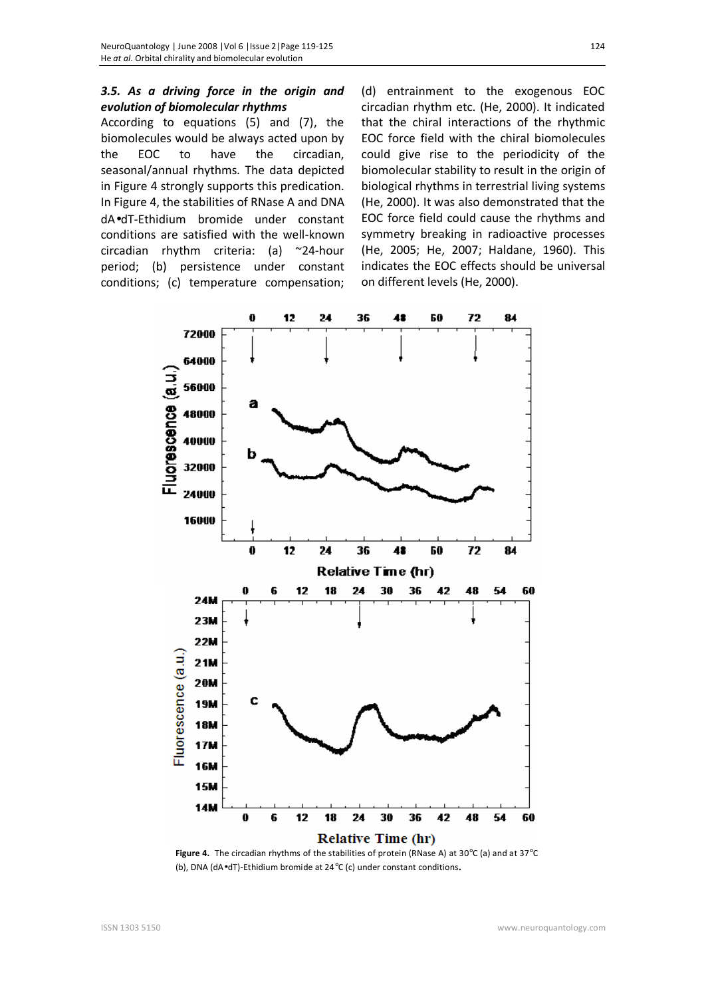### *3.5. As a driving force in the origin and evolution of biomolecular rhythms*

According to equations (5) and (7), the biomolecules would be always acted upon by the EOC to have the circadian, seasonal/annual rhythms. The data depicted in Figure 4 strongly supports this predication. In Figure 4, the stabilities of RNase A and DNA dA•dT-Ethidium bromide under constant conditions are satisfied with the well-known circadian rhythm criteria: (a) ~24-hour period; (b) persistence under constant conditions; (c) temperature compensation;

(d) entrainment to the exogenous EOC circadian rhythm etc. (He, 2000). It indicated that the chiral interactions of the rhythmic EOC force field with the chiral biomolecules could give rise to the periodicity of the biomolecular stability to result in the origin of biological rhythms in terrestrial living systems (He, 2000). It was also demonstrated that the EOC force field could cause the rhythms and symmetry breaking in radioactive processes (He, 2005; He, 2007; Haldane, 1960). This indicates the EOC effects should be universal on different levels (He, 2000).



**Figure 4.** The circadian rhythms of the stabilities of protein (RNase A) at 30°C (a) and at 37°C (b), DNA (dA•dT)-Ethidium bromide at 24°C (c) under constant conditions.